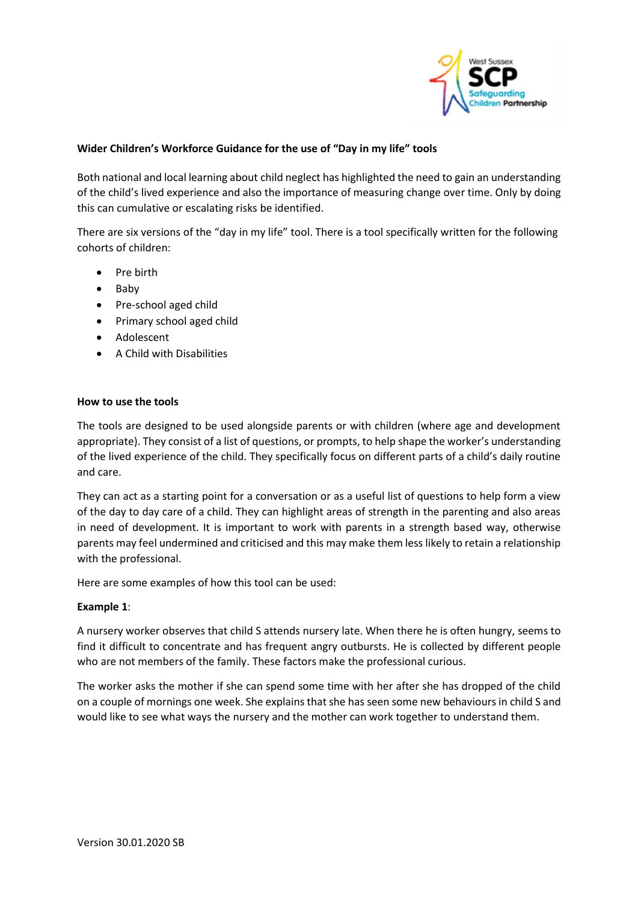

## **Wider Children's Workforce Guidance for the use of "Day in my life" tools**

Both national and local learning about child neglect has highlighted the need to gain an understanding of the child's lived experience and also the importance of measuring change over time. Only by doing this can cumulative or escalating risks be identified.

There are six versions of the "day in my life" tool. There is a tool specifically written for the following cohorts of children:

- Pre birth
- Baby
- Pre-school aged child
- Primary school aged child
- Adolescent
- A Child with Disabilities

#### **How to use the tools**

The tools are designed to be used alongside parents or with children (where age and development appropriate). They consist of a list of questions, or prompts, to help shape the worker's understanding of the lived experience of the child. They specifically focus on different parts of a child's daily routine and care.

They can act as a starting point for a conversation or as a useful list of questions to help form a view of the day to day care of a child. They can highlight areas of strength in the parenting and also areas in need of development. It is important to work with parents in a strength based way, otherwise parents may feel undermined and criticised and this may make them less likely to retain a relationship with the professional.

Here are some examples of how this tool can be used:

### **Example 1**:

A nursery worker observes that child S attends nursery late. When there he is often hungry, seems to find it difficult to concentrate and has frequent angry outbursts. He is collected by different people who are not members of the family. These factors make the professional curious.

The worker asks the mother if she can spend some time with her after she has dropped of the child on a couple of mornings one week. She explains that she has seen some new behaviours in child S and would like to see what ways the nursery and the mother can work together to understand them.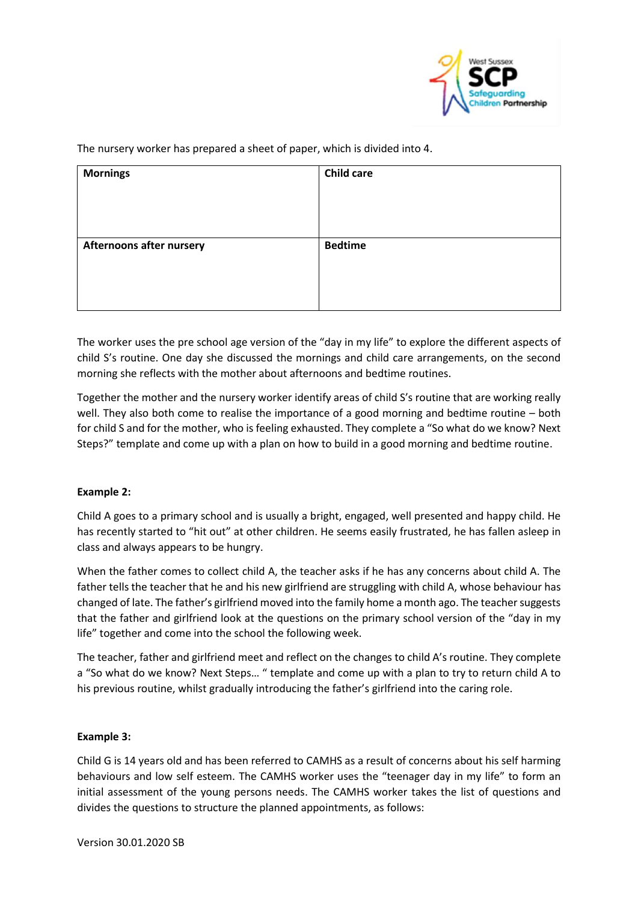

The nursery worker has prepared a sheet of paper, which is divided into 4.

| <b>Mornings</b>                 | <b>Child care</b> |
|---------------------------------|-------------------|
| <b>Afternoons after nursery</b> | <b>Bedtime</b>    |

The worker uses the pre school age version of the "day in my life" to explore the different aspects of child S's routine. One day she discussed the mornings and child care arrangements, on the second morning she reflects with the mother about afternoons and bedtime routines.

Together the mother and the nursery worker identify areas of child S's routine that are working really well. They also both come to realise the importance of a good morning and bedtime routine – both for child S and for the mother, who is feeling exhausted. They complete a "So what do we know? Next Steps?" template and come up with a plan on how to build in a good morning and bedtime routine.

# **Example 2:**

Child A goes to a primary school and is usually a bright, engaged, well presented and happy child. He has recently started to "hit out" at other children. He seems easily frustrated, he has fallen asleep in class and always appears to be hungry.

When the father comes to collect child A, the teacher asks if he has any concerns about child A. The father tells the teacher that he and his new girlfriend are struggling with child A, whose behaviour has changed of late. The father's girlfriend moved into the family home a month ago. The teacher suggests that the father and girlfriend look at the questions on the primary school version of the "day in my life" together and come into the school the following week.

The teacher, father and girlfriend meet and reflect on the changes to child A's routine. They complete a "So what do we know? Next Steps… " template and come up with a plan to try to return child A to his previous routine, whilst gradually introducing the father's girlfriend into the caring role.

### **Example 3:**

Child G is 14 years old and has been referred to CAMHS as a result of concerns about his self harming behaviours and low self esteem. The CAMHS worker uses the "teenager day in my life" to form an initial assessment of the young persons needs. The CAMHS worker takes the list of questions and divides the questions to structure the planned appointments, as follows: